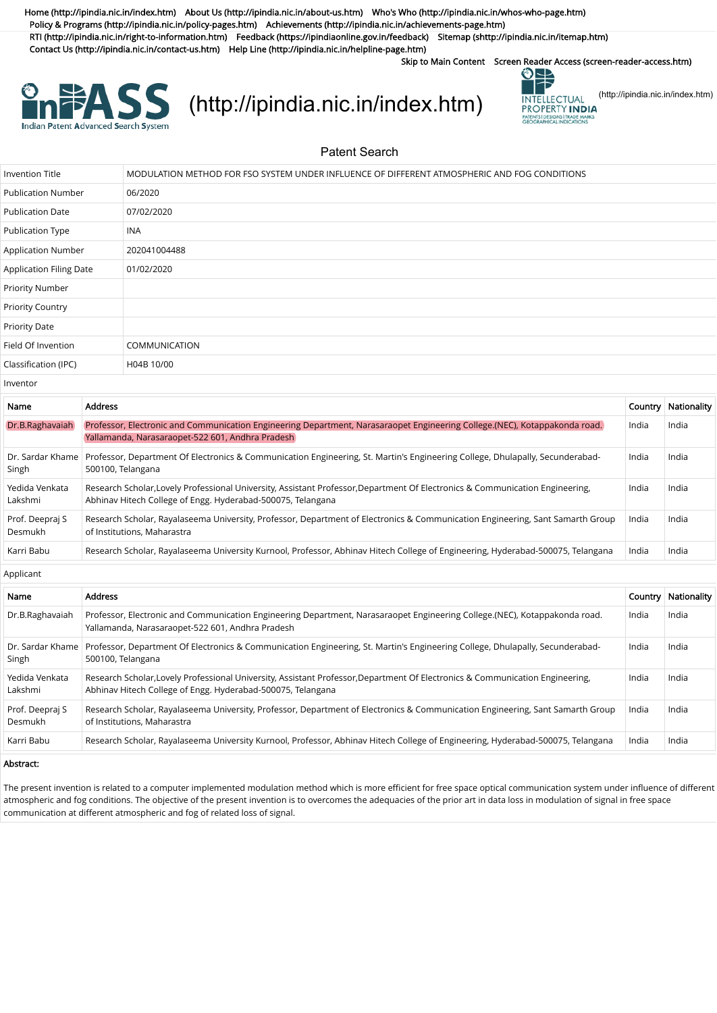[Home \(http://ipindia.nic.in/index.htm\)](http://ipindia.nic.in/index.htm) [About Us \(http://ipindia.nic.in/about-us.htm\)](http://ipindia.nic.in/about-us.htm) [Who's Who \(http://ipindia.nic.in/whos-who-page.htm\)](http://ipindia.nic.in/whos-who-page.htm) [Policy & Programs \(http://ipindia.nic.in/policy-pages.htm\)](http://ipindia.nic.in/policy-pages.htm) [Achievements \(http://ipindia.nic.in/achievements-page.htm\)](http://ipindia.nic.in/achievements-page.htm) [RTI \(http://ipindia.nic.in/right-to-information.htm\)](http://ipindia.nic.in/right-to-information.htm) [Feedback \(https://ipindiaonline.gov.in/feedback\)](https://ipindiaonline.gov.in/feedback) [Sitemap \(shttp://ipindia.nic.in/itemap.htm\)](shttp://ipindia.nic.in/itemap.htm) [Contact Us \(http://ipindia.nic.in/contact-us.htm\)](http://ipindia.nic.in/contact-us.htm) [Help Line \(http://ipindia.nic.in/helpline-page.htm\)](http://ipindia.nic.in/helpline-page.htm)

Skip to Main Content [Screen Reader Access \(screen-reader-access.htm\)](https://ipindiaservices.gov.in/PublicSearch/PublicationSearch/screen-reader-access.htm)



## **EXALSS** [\(http://ipindia.nic.in/index.htm\)](http://ipindia.nic.in/index.htm) [\(http://ipindia.nic.in/index.htm\)](http://ipindia.nic.in/index.htm)



Patent Search

| <b>Invention Title</b>         | MODULATION METHOD FOR FSO SYSTEM UNDER INFLUENCE OF DIFFERENT ATMOSPHERIC AND FOG CONDITIONS |
|--------------------------------|----------------------------------------------------------------------------------------------|
| <b>Publication Number</b>      | 06/2020                                                                                      |
| <b>Publication Date</b>        | 07/02/2020                                                                                   |
| Publication Type               | INA                                                                                          |
| Application Number             | 202041004488                                                                                 |
| <b>Application Filing Date</b> | 01/02/2020                                                                                   |
| Priority Number                |                                                                                              |
| <b>Priority Country</b>        |                                                                                              |
| Priority Date                  |                                                                                              |
| Field Of Invention             | <b>COMMUNICATION</b>                                                                         |
| Classification (IPC)           | H04B 10/00                                                                                   |

Inventor

| Name                              | <b>Address</b>                                                                                                                                                                               |       | Country   Nationality |
|-----------------------------------|----------------------------------------------------------------------------------------------------------------------------------------------------------------------------------------------|-------|-----------------------|
| Dr.B.Raghavaiah                   | Professor, Electronic and Communication Engineering Department, Narasaraopet Engineering College.(NEC), Kotappakonda road.<br>Yallamanda, Narasaraopet-522 601, Andhra Pradesh               | India | India                 |
| Dr. Sardar Khame<br>Singh         | Professor, Department Of Electronics & Communication Engineering, St. Martin's Engineering College, Dhulapally, Secunderabad-<br>500100, Telangana                                           | India | India                 |
| Yedida Venkata<br>Lakshmi         | Research Scholar, Lovely Professional University, Assistant Professor, Department Of Electronics & Communication Engineering,<br>Abhinav Hitech College of Engg. Hyderabad-500075, Telangana | India | India                 |
| Prof. Deepraj S<br><b>Desmukh</b> | Research Scholar, Rayalaseema University, Professor, Department of Electronics & Communication Engineering, Sant Samarth Group<br>of Institutions, Maharastra                                | India | India                 |
| Karri Babu                        | Research Scholar, Rayalaseema University Kurnool, Professor, Abhinav Hitech College of Engineering, Hyderabad-500075, Telangana                                                              | India | India                 |
|                                   |                                                                                                                                                                                              |       |                       |

Applicant

| Name                       | <b>Address</b>                                                                                                                                                                               |       | Country   Nationality |
|----------------------------|----------------------------------------------------------------------------------------------------------------------------------------------------------------------------------------------|-------|-----------------------|
| Dr.B.Raghavaiah            | Professor, Electronic and Communication Engineering Department, Narasaraopet Engineering College.(NEC), Kotappakonda road.<br>Yallamanda, Narasaraopet-522 601, Andhra Pradesh               | India | India                 |
| Dr. Sardar Khame<br>Singh  | Professor, Department Of Electronics & Communication Engineering, St. Martin's Engineering College, Dhulapally, Secunderabad-<br>500100, Telangana                                           | India | India                 |
| Yedida Venkata<br>Lakshmi  | Research Scholar, Lovely Professional University, Assistant Professor, Department Of Electronics & Communication Engineering,<br>Abhinav Hitech College of Engg. Hyderabad-500075, Telangana | India | India                 |
| Prof. Deepraj S<br>Desmukh | Research Scholar, Rayalaseema University, Professor, Department of Electronics & Communication Engineering, Sant Samarth Group<br>of Institutions, Maharastra                                | India | India                 |
| Karri Babu                 | Research Scholar, Rayalaseema University Kurnool, Professor, Abhinav Hitech College of Engineering, Hyderabad-500075, Telangana                                                              | India | India                 |

## Abstract:

The present invention is related to a computer implemented modulation method which is more efficient for free space optical communication system under influence of different atmospheric and fog conditions. The objective of the present invention is to overcomes the adequacies of the prior art in data loss in modulation of signal in free space communication at different atmospheric and fog of related loss of signal.